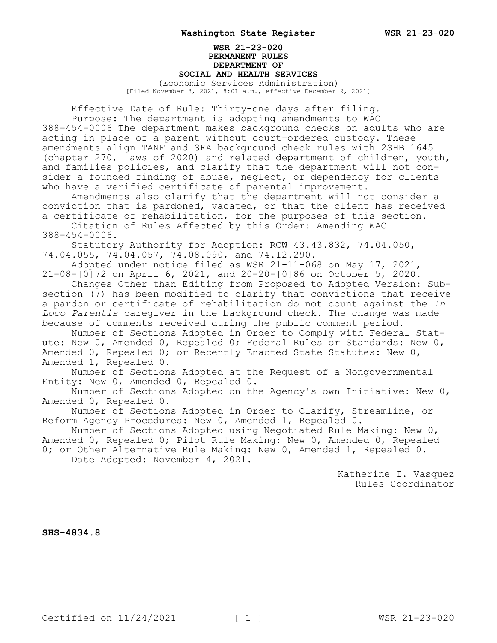## **WSR 21-23-020 PERMANENT RULES DEPARTMENT OF SOCIAL AND HEALTH SERVICES** (Economic Services Administration)

[Filed November 8, 2021, 8:01 a.m., effective December 9, 2021]

Effective Date of Rule: Thirty-one days after filing.

Purpose: The department is adopting amendments to WAC 388-454-0006 The department makes background checks on adults who are acting in place of a parent without court-ordered custody. These amendments align TANF and SFA background check rules with 2SHB 1645 (chapter 270, Laws of 2020) and related department of children, youth, and families policies, and clarify that the department will not consider a founded finding of abuse, neglect, or dependency for clients who have a verified certificate of parental improvement.

Amendments also clarify that the department will not consider a conviction that is pardoned, vacated, or that the client has received a certificate of rehabilitation, for the purposes of this section.

Citation of Rules Affected by this Order: Amending WAC 388-454-0006.

Statutory Authority for Adoption: RCW 43.43.832, 74.04.050, 74.04.055, 74.04.057, 74.08.090, and 74.12.290.

Adopted under notice filed as WSR 21-11-068 on May 17, 2021, 21-08-[0]72 on April 6, 2021, and 20-20-[0]86 on October 5, 2020.

Changes Other than Editing from Proposed to Adopted Version: Subsection (7) has been modified to clarify that convictions that receive a pardon or certificate of rehabilitation do not count against the *In Loco Parentis* caregiver in the background check. The change was made because of comments received during the public comment period.

Number of Sections Adopted in Order to Comply with Federal Statute: New 0, Amended 0, Repealed 0; Federal Rules or Standards: New 0, Amended 0, Repealed 0; or Recently Enacted State Statutes: New 0, Amended 1, Repealed 0.

Number of Sections Adopted at the Request of a Nongovernmental Entity: New 0, Amended 0, Repealed 0.

Number of Sections Adopted on the Agency's own Initiative: New 0, Amended 0, Repealed 0.

Number of Sections Adopted in Order to Clarify, Streamline, or Reform Agency Procedures: New 0, Amended 1, Repealed 0.

Number of Sections Adopted using Negotiated Rule Making: New 0, Amended 0, Repealed 0; Pilot Rule Making: New 0, Amended 0, Repealed

0; or Other Alternative Rule Making: New 0, Amended 1, Repealed 0. Date Adopted: November 4, 2021.

> Katherine I. Vasquez Rules Coordinator

**SHS-4834.8**